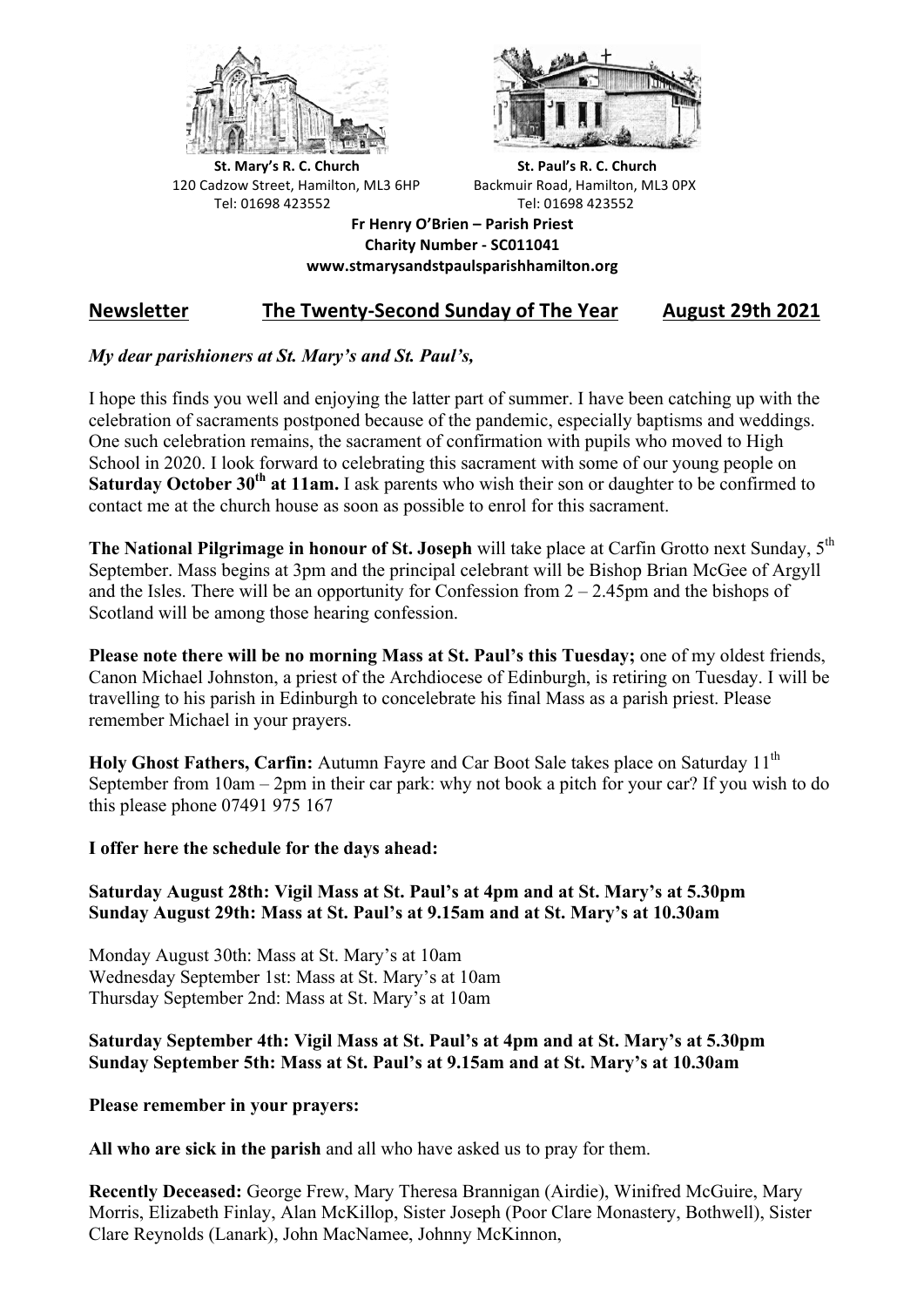



**St.** Mary's R. C. Church St. Paul's R. C. Church 120 Cadzow Street, Hamilton, ML3 6HP Backmuir Road, Hamilton, ML3 0PX Tel: 01698 423552 Tel: 01698 423552

**Fr Henry O'Brien – Parish Priest Charity Number - SC011041 www.stmarysandstpaulsparishhamilton.org**

# **Newsletter** The Twenty-Second Sunday of The Year August 29th 2021

## *My dear parishioners at St. Mary's and St. Paul's,*

I hope this finds you well and enjoying the latter part of summer. I have been catching up with the celebration of sacraments postponed because of the pandemic, especially baptisms and weddings. One such celebration remains, the sacrament of confirmation with pupils who moved to High School in 2020. I look forward to celebrating this sacrament with some of our young people on **Saturday October 30th at 11am.** I ask parents who wish their son or daughter to be confirmed to contact me at the church house as soon as possible to enrol for this sacrament.

**The National Pilgrimage in honour of St. Joseph** will take place at Carfin Grotto next Sunday, 5th September. Mass begins at 3pm and the principal celebrant will be Bishop Brian McGee of Argyll and the Isles. There will be an opportunity for Confession from  $2 - 2.45$ pm and the bishops of Scotland will be among those hearing confession.

**Please note there will be no morning Mass at St. Paul's this Tuesday;** one of my oldest friends, Canon Michael Johnston, a priest of the Archdiocese of Edinburgh, is retiring on Tuesday. I will be travelling to his parish in Edinburgh to concelebrate his final Mass as a parish priest. Please remember Michael in your prayers.

Holy Ghost Fathers, Carfin: Autumn Fayre and Car Boot Sale takes place on Saturday 11<sup>th</sup> September from 10am – 2pm in their car park: why not book a pitch for your car? If you wish to do this please phone 07491 975 167

### **I offer here the schedule for the days ahead:**

### **Saturday August 28th: Vigil Mass at St. Paul's at 4pm and at St. Mary's at 5.30pm Sunday August 29th: Mass at St. Paul's at 9.15am and at St. Mary's at 10.30am**

Monday August 30th: Mass at St. Mary's at 10am Wednesday September 1st: Mass at St. Mary's at 10am Thursday September 2nd: Mass at St. Mary's at 10am

#### **Saturday September 4th: Vigil Mass at St. Paul's at 4pm and at St. Mary's at 5.30pm Sunday September 5th: Mass at St. Paul's at 9.15am and at St. Mary's at 10.30am**

### **Please remember in your prayers:**

**All who are sick in the parish** and all who have asked us to pray for them.

**Recently Deceased:** George Frew, Mary Theresa Brannigan (Airdie), Winifred McGuire, Mary Morris, Elizabeth Finlay, Alan McKillop, Sister Joseph (Poor Clare Monastery, Bothwell), Sister Clare Reynolds (Lanark), John MacNamee, Johnny McKinnon,